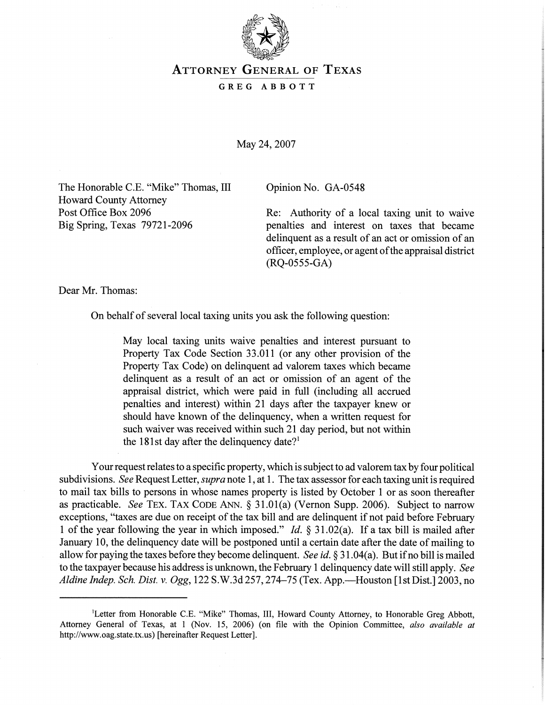

## **ATTORNEY GENERAL OF TEXAS**

## **GREG ABBOTT**

May 24, 2007

The Honorable C.E. "Mike" Thomas, III Opinion No. GA-0548 Howard County Attorney

Post Office Box 2096 Re: Authority of a local taxing unit to waive Big Spring, Texas 79721-2096 penalties and interest on taxes that became delinquent as a result of an act or omission of an officer, employee, or agent ofthe appraisal district (RQ-0555-GA)

Dear Mr. Thomas:

On behalf of several local taxing units you ask the following question:

May local taxing units waive penalties and interest pursuant to Property Tax Code Section 33.011 (or any other provision of the Property Tax Code) on delinquent ad valorem taxes which became delinquent as a result of an act or omission of an agent of the appraisal district, which were paid in full (including all accrued penalties and interest) within 21 days after the taxpayer knew or should have known of the delinquency, when a written request for such waiver was received within such 21 day period, but not within the 181st day after the delinquency date?<sup>1</sup>

Your request relates to a specific property, which is subject to ad valorem tax by four political subdivisions. *See* Request Letter, *supra* note 1, at 1. The tax assessor for each taxing unit is required to mail tax bills to persons in whose names property is listed by October 1 or as soon thereafter as practicable. *See* TEX. TAX CODE ANN. \$ 31.01(a) (Vernon Supp. 2006). Subject to narrow exceptions, "taxes are due on receipt of the tax bill and are delinquent if not paid before February 1 of the year following the year in which imposed." *Id. 5* 3 1.02(a). If a tax bill is mailed after January 10, the delinquency date will be postponed until a certain date after the date of mailing to allow for paying the taxes before they become delinquent. *See id.* \$3 1.04(a). But if no bill is mailed to the taxpayer because his address is unknown, the February 1 delinquency date will still apply. *See Aldine Indep. Sch. Dist.* v. Ogg, 122 S.W.3d 257,274-75 (Tex. App.-Houston [lst Dist.] 2003, no

<sup>&#</sup>x27;Letter from Honorable C.E. "Mike" Thomas, 111, Howard County Attorney, to Honorable Greg Abbott, Attorney General of Texas, at 1 (Nov. 15, 2006) (on file with the Opinion Committee, *also available at*  http://www.oag.state.tx.us) [hereinafter Request Letter].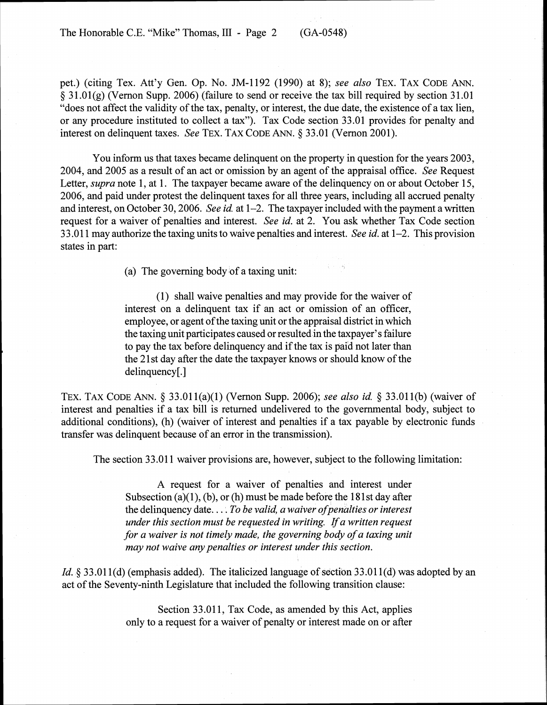The Honorable C.E. "Mike" Thomas, III - Page 2 (GA-0548)

pet.) (citing Tex. Att'y Gen. Op. No. JM-1192 (1990) at 8); *see also* TEX. TAX CODE ANN. § 3 1.0 1 (g) (Vernon Supp. 2006) (failure to send or receive the tax bill required by section 3 1.0 1 "does not affect the validity of the tax, penalty, or interest, the due date, the existence of a tax lien, or any procedure instituted to collect a tax"). Tax Code section 33.01 provides for penalty and interest on delinquent taxes. *See* TEX. TAX CODE ANN. *5* 33.0 1 (Vernon 2001).

You inform us that taxes became delinquent on the property in question for the years 2003, 2004, and 2005 as a result of an act or omission by an agent of the appraisal office. *See* Request Letter, *supra* note 1, at 1. The taxpayer became aware of the delinguency on or about October 15, 2006, and paid under protest the delinquent taxes for all three years, including all accrued penalty and interest, on October 30,2006. *See id.* at 1-2. The taxpayer included with the payment a written request for a waiver of penalties and interest. *See id.* at 2. You ask whether Tax Code section 3 3.0 1 1 may authorize the taxing units to waive penalties and interest. *See id.* at 1-2. This provision states in part:

(a) The governing body of a taxing unit:

(1) shall waive penalties and may provide for the waiver of interest on a delinquent tax if an act or omission of an officer, employee, or agent of the taxing unit or the appraisal district in which the taxing unit participates caused or resulted in the taxpayer's failure to pay the tax before delinquency and if the tax is paid not later than the 2 1 st day after the date the taxpayer knows or should know of the delinquency[.]

TEX. TAX CODE ANN. § 33 .011 (a)(l) (Vernon Supp. 2006); *see also id. 5* 33 .011 (b) (waiver of interest and penalties if a tax bill is returned undelivered to the governmental body, subject to additional conditions), (h) (waiver of interest and penalties if a tax payable by electronic funds transfer was delinquent because of an error in the transmission).

The section 33.011 waiver provisions are, however, subject to the following limitation:

A request for a waiver of penalties and interest under Subsection (a) $(1)$ , (b), or (h) must be made before the 181st day after the delinquency date. . . . *To be valid, a waiver ofpenalties or interest under this section must be requested in writing. Ifa written request for a waiver is not timely made, the governing body of a taxing unit may not waive any penalties or interest under this section.* 

*Id.* § 33.011(d) (emphasis added). The italicized language of section 33.011(d) was adopted by an act of the Seventy-ninth Legislature that included the following transition clause:

> Section 33.011, Tax Code, as amended by this Act, applies only to a request for a waiver of penalty or interest made on or after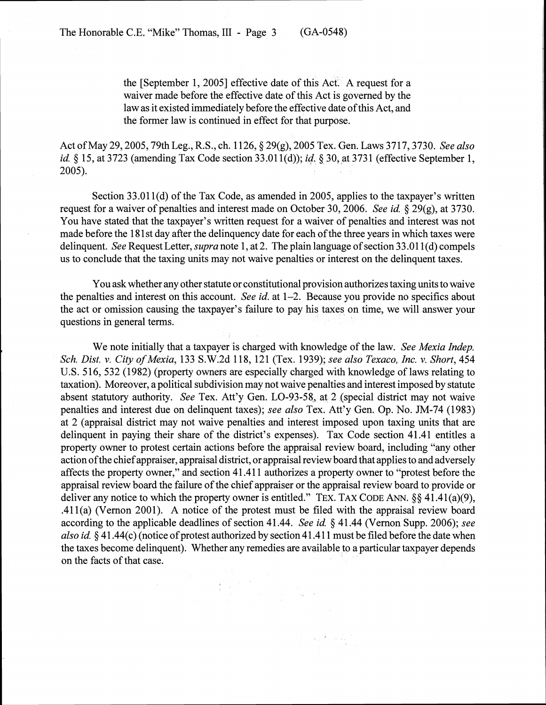the [September 1, 20051 effective date of this Act. A request for a waiver made before the effective date of this Act is governed by the law as it existed immediately before the effective date of this Act, and the former law is continued in effect for that purpose.

Act of May 29, 2005, 79th Leg., R.S., ch. 1126, § 29(g), 2005 Tex. Gen. Laws 3717, 3730. *See also id.* § 15, at 3723 (amending Tax Code section 33.011(d)); *id.* § 30, at 3731 (effective September 1, 2005).

Section 33.011(d) of the Tax Code, as amended in 2005, applies to the taxpayer's written request for a waiver of penalties and interest made on October 30,2006. *See id.* 29(g), at 3730. You have stated that the taxpayer's written request for a waiver of penalties and interest was not made before the 181st day after the delinguency date for each of the three years in which taxes were delinquent. *See* Request Letter, *supra* note 1, at 2. The plain language of section 33.011(d) compels us to conclude that the taxing units may not waive penalties or interest on the delinquent taxes.

You ask whether any other statute or constitutional provision authorizes taxing units to waive the penalties and interest on this account. *See id.* at 1-2. Because you provide no specifics about the act or omission causing the taxpayer's failure to pay his taxes on time, we will answer your questions in general terms.

We note initially that a taxpayer is charged with knowledge of the law. *See Mexia Indep. Sch. Dist.* **v.** *City of Mexia,* 133 S.W.2d 118, 121 (Tex. 1939); *see also Texaco, Inc.* v. *Short,* 454 U.S. 516, 532 (1982) (property owners are especially charged with knowledge of laws relating to taxation). Moreover, a political subdivision may not waive penalties and interest imposed by statute absent statutory authority. *See* Tex. Att'y Gen. LO-93-58, at 2 (special district may not waive penalties and interest due on delinquent taxes); *see also* Tex. Att'y Gen. Op. No. JM-74 (1983) at 2 (appraisal district may not waive penalties and interest imposed upon taxing units that are delinquent in paying their share of the district's expenses). Tax Code section 41.41 entitles a property owner to protest certain actions before the appraisal review board, including "any other action ofthe chief appraiser, appraisal district, or appraisal review board that applies to and adversely affects the property owner," and section 41.41 1 authorizes a property owner to "protest before the appraisal review board the failure of the chief appraiser or the appraisal review board to provide or deliver any notice to which the property owner is entitled." TEX. TAX CODE ANN.  $\S\S 41.41(a)(9)$ , .411(a) (Vernon 2001). A notice of the protest must be filed with the appraisal review board according to the applicable deadlines of section 41.44. *See id.* § 41.44 (Vernon Supp. 2006); *see also id. 5* 41.44(c) (notice of protest authorized by section 4 1.4 1 1 must be filed before the date when the taxes become delinquent). Whether any remedies are available to a particular taxpayer depends on the facts of that case.